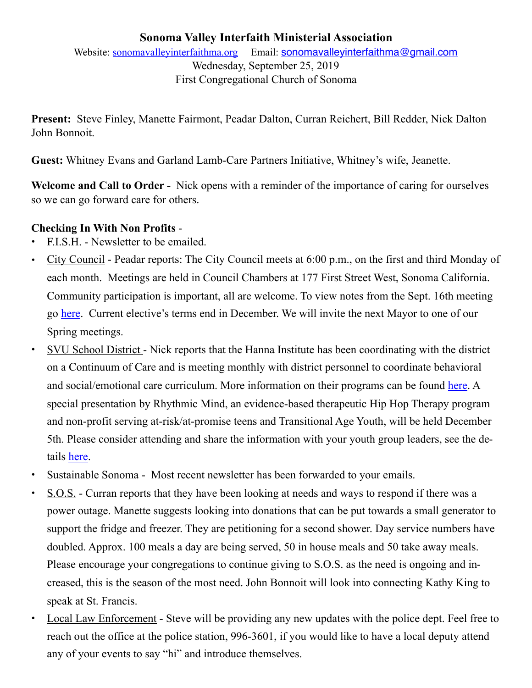## **Sonoma Valley Interfaith Ministerial Association**  Website: [sonomavalleyinterfaithma.org](http://sonomavalleyinterfaithma.org) Email: [sonomavalleyinterfaithma@gmail.com](mailto:sonomavalleyinterfaithma@gmail.com) Wednesday, September 25, 2019 First Congregational Church of Sonoma

**Present:** Steve Finley, Manette Fairmont, Peadar Dalton, Curran Reichert, Bill Redder, Nick Dalton John Bonnoit.

**Guest:** Whitney Evans and Garland Lamb-Care Partners Initiative, Whitney's wife, Jeanette.

**Welcome and Call to Order -** Nick opens with a reminder of the importance of caring for ourselves so we can go forward care for others.

## **Checking In With Non Profits** -

- **•** F.I.S.H. Newsletter to be emailed.
- **•** City Council Peadar reports: The City Council meets at 6:00 p.m., on the first and third Monday of each month. Meetings are held in Council Chambers at 177 First Street West, Sonoma California. Community participation is important, all are welcome. To view notes from the Sept. 16th meeting go [here.](https://www.sonomacity.org/city-council-meeting-september-16th/) Current elective's terms end in December. We will invite the next Mayor to one of our Spring meetings.
- SVU School District Nick reports that the Hanna Institute has been coordinating with the district on a Continuum of Care and is meeting monthly with district personnel to coordinate behavioral and social/emotional care curriculum. More information on their programs can be found [here](https://www.hannainstitute.org/resilient-sonoma/). A special presentation by Rhythmic Mind, an evidence-based therapeutic Hip Hop Therapy program and non-profit serving at-risk/at-promise teens and Transitional Age Youth, will be held December 5th. Please consider attending and share the information with your youth group leaders, see the details [here](https://www.hannainstitute.org/event/rhythmic-mind-therapeutic-hip-hop/).
- **<u>Sustainable Sonoma</u>** Most recent newsletter has been forwarded to your emails.
- **•** S.O.S. Curran reports that they have been looking at needs and ways to respond if there was a power outage. Manette suggests looking into donations that can be put towards a small generator to support the fridge and freezer. They are petitioning for a second shower. Day service numbers have doubled. Approx. 100 meals a day are being served, 50 in house meals and 50 take away meals. Please encourage your congregations to continue giving to S.O.S. as the need is ongoing and increased, this is the season of the most need. John Bonnoit will look into connecting Kathy King to speak at St. Francis.
- Local Law Enforcement Steve will be providing any new updates with the police dept. Feel free to reach out the office at the police station, 996-3601, if you would like to have a local deputy attend any of your events to say "hi" and introduce themselves.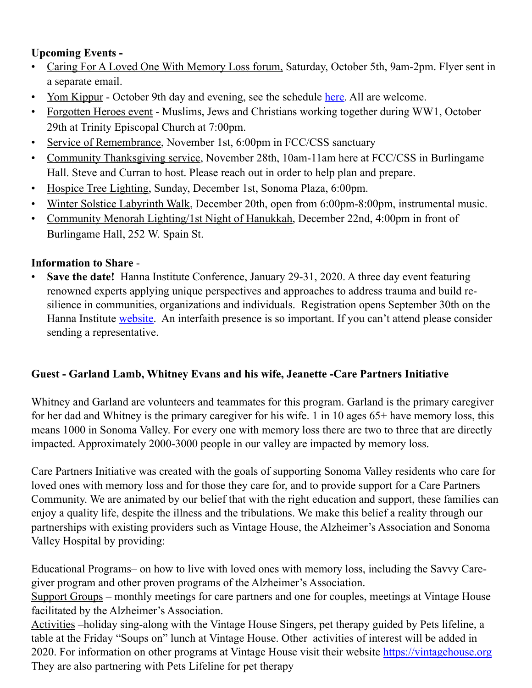## **Upcoming Events -**

- Caring For A Loved One With Memory Loss forum, Saturday, October 5th, 9am-2pm. Flyer sent in a separate email.
- Yom Kippur October 9th day and evening, see the schedule [here](http://www.shir-shalom.org/index.html). All are welcome.
- Forgotten Heroes event Muslims, Jews and Christians working together during WW1, October 29th at Trinity Episcopal Church at 7:00pm.
- Service of Remembrance, November 1st, 6:00pm in FCC/CSS sanctuary
- Community Thanksgiving service, November 28th, 10am-11am here at FCC/CSS in Burlingame Hall. Steve and Curran to host. Please reach out in order to help plan and prepare.
- Hospice Tree Lighting, Sunday, December 1st, Sonoma Plaza, 6:00pm.
- Winter Solstice Labyrinth Walk, December 20th, open from 6:00pm-8:00pm, instrumental music.
- Community Menorah Lighting/1st Night of Hanukkah, December 22nd, 4:00pm in front of Burlingame Hall, 252 W. Spain St.

## **Information to Share** -

• **Save the date!** Hanna Institute Conference, January 29-31, 2020. A three day event featuring renowned experts applying unique perspectives and approaches to address trauma and build resilience in communities, organizations and individuals. Registration opens September 30th on the Hanna Institute [website.](https://www.hannainstitute.org/events/) An interfaith presence is so important. If you can't attend please consider sending a representative.

# **Guest - Garland Lamb, Whitney Evans and his wife, Jeanette -Care Partners Initiative**

Whitney and Garland are volunteers and teammates for this program. Garland is the primary caregiver for her dad and Whitney is the primary caregiver for his wife. 1 in 10 ages 65+ have memory loss, this means 1000 in Sonoma Valley. For every one with memory loss there are two to three that are directly impacted. Approximately 2000-3000 people in our valley are impacted by memory loss.

Care Partners Initiative was created with the goals of supporting Sonoma Valley residents who care for loved ones with memory loss and for those they care for, and to provide support for a Care Partners Community. We are animated by our belief that with the right education and support, these families can enjoy a quality life, despite the illness and the tribulations. We make this belief a reality through our partnerships with existing providers such as Vintage House, the Alzheimer's Association and Sonoma Valley Hospital by providing:

Educational Programs– on how to live with loved ones with memory loss, including the Savvy Caregiver program and other proven programs of the Alzheimer's Association.

Support Groups – monthly meetings for care partners and one for couples, meetings at Vintage House facilitated by the Alzheimer's Association.

Activities –holiday sing-along with the Vintage House Singers, pet therapy guided by Pets lifeline, a table at the Friday "Soups on" lunch at Vintage House. Other activities of interest will be added in 2020. For information on other programs at Vintage House visit their website<https://vintagehouse.org> They are also partnering with Pets Lifeline for pet therapy